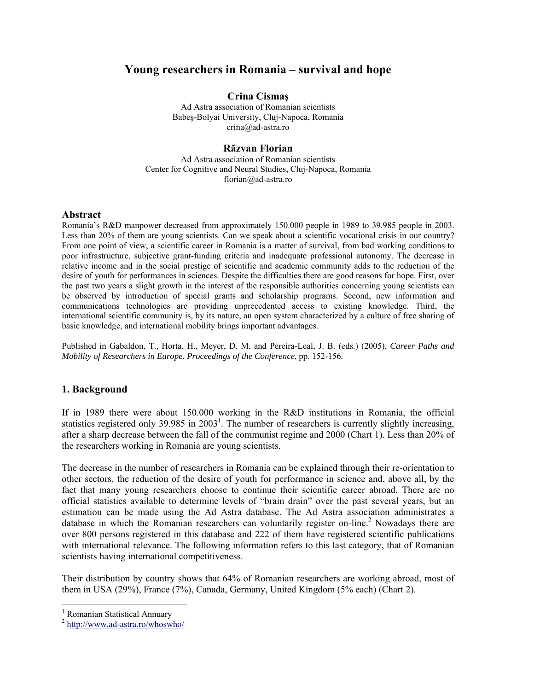# **Young researchers in Romania – survival and hope**

# **Crina Cismaş**

Ad Astra association of Romanian scientists Babeş-Bolyai University, Cluj-Napoca, Romania crina@ad-astra.ro

### **Răzvan Florian**

Ad Astra association of Romanian scientists Center for Cognitive and Neural Studies, Cluj-Napoca, Romania florian@ad-astra.ro

#### **Αbstract**

Romania's R&D manpower decreased from approximately 150.000 people in 1989 to 39.985 people in 2003. Less than 20% of them are young scientists. Can we speak about a scientific vocational crisis in our country? From one point of view, a scientific career in Romania is a matter of survival, from bad working conditions to poor infrastructure, subjective grant-funding criteria and inadequate professional autonomy. The decrease in relative income and in the social prestige of scientific and academic community adds to the reduction of the desire of youth for performances in sciences. Despite the difficulties there are good reasons for hope. First, over the past two years a slight growth in the interest of the responsible authorities concerning young scientists can be observed by introduction of special grants and scholarship programs. Second, new information and communications technologies are providing unprecedented access to existing knowledge. Third, the international scientific community is, by its nature, an open system characterized by a culture of free sharing of basic knowledge, and international mobility brings important advantages.

Published in Gabaldon, T., Horta, H., Meyer, D. M. and Pereira-Leal, J. B. (eds.) (2005), *Career Paths and Mobility of Researchers in Europe. Proceedings of the Conference*, pp. 152-156*.* 

#### **1. Background**

If in 1989 there were about 150.000 working in the R&D institutions in Romania, the official statistics registered only 39.985 in  $2003<sup>1</sup>$ . The number of researchers is currently slightly increasing, after a sharp decrease between the fall of the communist regime and 2000 (Chart 1). Less than 20% of the researchers working in Romania are young scientists.

The decrease in the number of researchers in Romania can be explained through their re-orientation to other sectors, the reduction of the desire of youth for performance in science and, above all, by the fact that many young researchers choose to continue their scientific career abroad. There are no official statistics available to determine levels of "brain drain" over the past several years, but an estimation can be made using the Ad Astra database. The Ad Astra association administrates a database in which the Romanian researchers can voluntarily register on-line.<sup>2</sup> Nowadays there are over 800 persons registered in this database and 222 of them have registered scientific publications with international relevance. The following information refers to this last category, that of Romanian scientists having international competitiveness.

Their distribution by country shows that 64% of Romanian researchers are working abroad, most of them in USA (29%), France (7%), Canada, Germany, United Kingdom (5% each) (Chart 2).

<sup>1</sup> Romanian Statistical Annuary

 $\overline{a}$ 

<sup>2</sup> http://www.ad-astra.ro/whoswho/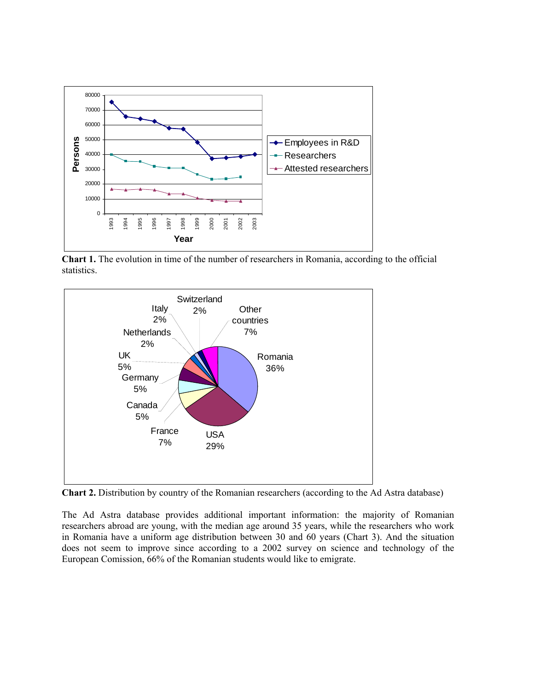

**Chart 1.** The evolution in time of the number of researchers in Romania, according to the official statistics.



**Chart 2.** Distribution by country of the Romanian researchers (according to the Ad Astra database)

The Ad Astra database provides additional important information: the majority of Romanian researchers abroad are young, with the median age around 35 years, while the researchers who work in Romania have a uniform age distribution between 30 and 60 years (Chart 3). And the situation does not seem to improve since according to a 2002 survey on science and technology of the European Comission, 66% of the Romanian students would like to emigrate.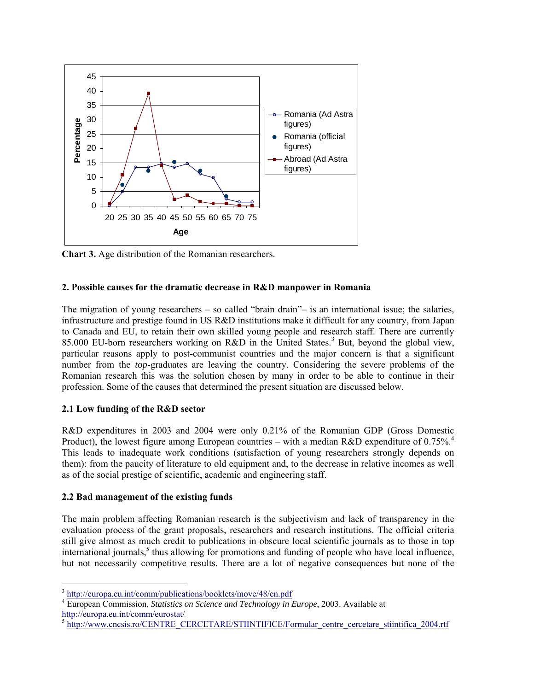

**Chart 3.** Age distribution of the Romanian researchers.

### **2. Possible causes for the dramatic decrease in R&D manpower in Romania**

The migration of young researchers – so called "brain drain"– is an international issue; the salaries, infrastructure and prestige found in US R&D institutions make it difficult for any country, from Japan to Canada and EU, to retain their own skilled young people and research staff. There are currently 85.000 EU-born researchers working on R&D in the United States.<sup>3</sup> But, beyond the global view, particular reasons apply to post-communist countries and the major concern is that a significant number from the *top*-graduates are leaving the country. Considering the severe problems of the Romanian research this was the solution chosen by many in order to be able to continue in their profession. Some of the causes that determined the present situation are discussed below.

# **2.1 Low funding of the R&D sector**

R&D expenditures in 2003 and 2004 were only 0.21% of the Romanian GDP (Gross Domestic Product), the lowest figure among European countries – with a median R&D expenditure of 0.75%.<sup>4</sup> This leads to inadequate work conditions (satisfaction of young researchers strongly depends on them): from the paucity of literature to old equipment and, to the decrease in relative incomes as well as of the social prestige of scientific, academic and engineering staff.

# **2.2 Bad management of the existing funds**

 $\overline{a}$ 

The main problem affecting Romanian research is the subjectivism and lack of transparency in the evaluation process of the grant proposals, researchers and research institutions. The official criteria still give almost as much credit to publications in obscure local scientific journals as to those in top international journals,<sup>5</sup> thus allowing for promotions and funding of people who have local influence, but not necessarily competitive results. There are a lot of negative consequences but none of the

<sup>3</sup> http://europa.eu.int/comm/publications/booklets/move/48/en.pdf 4

European Commission, *Statistics on Science and Technology in Europe*, 2003. Available at http://europa.eu.int/comm/eurostat/

http://www.cncsis.ro/CENTRE\_CERCETARE/STIINTIFICE/Formular\_centre\_cercetare\_stiintifica\_2004.rtf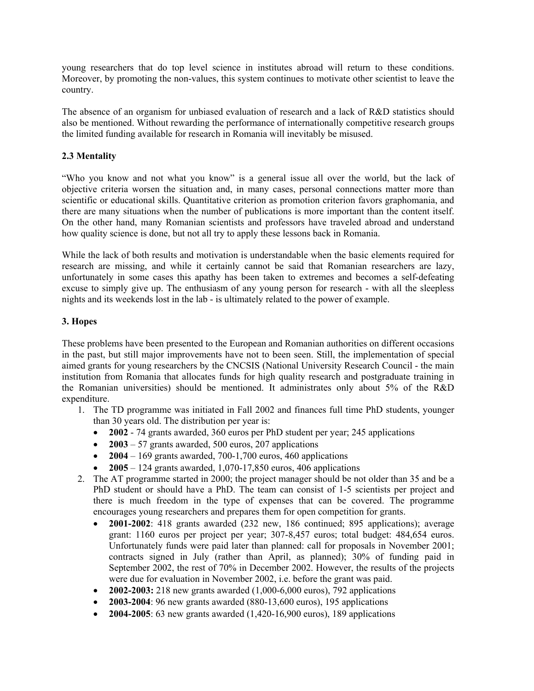young researchers that do top level science in institutes abroad will return to these conditions. Moreover, by promoting the non-values, this system continues to motivate other scientist to leave the country.

The absence of an organism for unbiased evaluation of research and a lack of R&D statistics should also be mentioned. Without rewarding the performance of internationally competitive research groups the limited funding available for research in Romania will inevitably be misused.

## **2.3 Mentality**

"Who you know and not what you know" is a general issue all over the world, but the lack of objective criteria worsen the situation and, in many cases, personal connections matter more than scientific or educational skills. Quantitative criterion as promotion criterion favors graphomania, and there are many situations when the number of publications is more important than the content itself. On the other hand, many Romanian scientists and professors have traveled abroad and understand how quality science is done, but not all try to apply these lessons back in Romania.

While the lack of both results and motivation is understandable when the basic elements required for research are missing, and while it certainly cannot be said that Romanian researchers are lazy, unfortunately in some cases this apathy has been taken to extremes and becomes a self-defeating excuse to simply give up. The enthusiasm of any young person for research - with all the sleepless nights and its weekends lost in the lab - is ultimately related to the power of example.

### **3. Hopes**

These problems have been presented to the European and Romanian authorities on different occasions in the past, but still major improvements have not to been seen. Still, the implementation of special aimed grants for young researchers by the CNCSIS (National University Research Council - the main institution from Romania that allocates funds for high quality research and postgraduate training in the Romanian universities) should be mentioned. It administrates only about 5% of the R&D expenditure.

- 1. The TD programme was initiated in Fall 2002 and finances full time PhD students, younger than 30 years old. The distribution per year is:
	- **2002** 74 grants awarded, 360 euros per PhD student per year; 245 applications
	- **2003** 57 grants awarded, 500 euros, 207 applications
	- **2004** 169 grants awarded, 700-1,700 euros, 460 applications
	- **2005**  124 grants awarded, 1,070-17,850 euros, 406 applications
- 2. The AT programme started in 2000; the project manager should be not older than 35 and be a PhD student or should have a PhD. The team can consist of 1-5 scientists per project and there is much freedom in the type of expenses that can be covered. The programme encourages young researchers and prepares them for open competition for grants.
	- **2001-2002**: 418 grants awarded (232 new, 186 continued; 895 applications); average grant: 1160 euros per project per year; 307-8,457 euros; total budget: 484,654 euros. Unfortunately funds were paid later than planned: call for proposals in November 2001; contracts signed in July (rather than April, as planned); 30% of funding paid in September 2002, the rest of 70% in December 2002. However, the results of the projects were due for evaluation in November 2002, i.e. before the grant was paid.
	- **2002-2003:** 218 new grants awarded (1,000-6,000 euros), 792 applications
	- **2003-2004**: 96 new grants awarded (880-13,600 euros), 195 applications
	- **2004-2005**: 63 new grants awarded (1,420-16,900 euros), 189 applications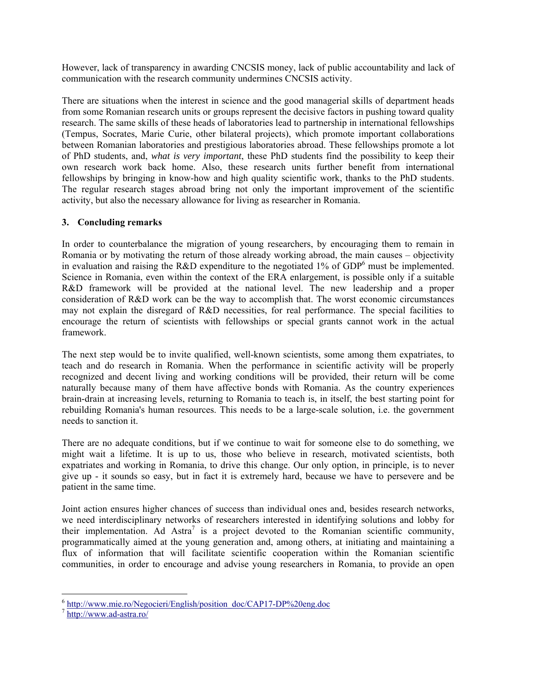However, lack of transparency in awarding CNCSIS money, lack of public accountability and lack of communication with the research community undermines CNCSIS activity.

There are situations when the interest in science and the good managerial skills of department heads from some Romanian research units or groups represent the decisive factors in pushing toward quality research. The same skills of these heads of laboratories lead to partnership in international fellowships (Tempus, Socrates, Marie Curie, other bilateral projects), which promote important collaborations between Romanian laboratories and prestigious laboratories abroad. These fellowships promote a lot of PhD students, and, *what is very important*, these PhD students find the possibility to keep their own research work back home. Also, these research units further benefit from international fellowships by bringing in know-how and high quality scientific work, thanks to the PhD students. The regular research stages abroad bring not only the important improvement of the scientific activity, but also the necessary allowance for living as researcher in Romania.

### **3. Concluding remarks**

In order to counterbalance the migration of young researchers, by encouraging them to remain in Romania or by motivating the return of those already working abroad, the main causes – objectivity in evaluation and raising the R&D expenditure to the negotiated 1% of GDP<sup>6</sup> must be implemented. Science in Romania, even within the context of the ERA enlargement, is possible only if a suitable R&D framework will be provided at the national level. The new leadership and a proper consideration of R&D work can be the way to accomplish that. The worst economic circumstances may not explain the disregard of R&D necessities, for real performance. The special facilities to encourage the return of scientists with fellowships or special grants cannot work in the actual framework.

The next step would be to invite qualified, well-known scientists, some among them expatriates, to teach and do research in Romania. When the performance in scientific activity will be properly recognized and decent living and working conditions will be provided, their return will be come naturally because many of them have affective bonds with Romania. As the country experiences brain-drain at increasing levels, returning to Romania to teach is, in itself, the best starting point for rebuilding Romania's human resources. This needs to be a large-scale solution, i.e. the government needs to sanction it.

There are no adequate conditions, but if we continue to wait for someone else to do something, we might wait a lifetime. It is up to us, those who believe in research, motivated scientists, both expatriates and working in Romania, to drive this change. Our only option, in principle, is to never give up - it sounds so easy, but in fact it is extremely hard, because we have to persevere and be patient in the same time.

Joint action ensures higher chances of success than individual ones and, besides research networks, we need interdisciplinary networks of researchers interested in identifying solutions and lobby for their implementation. Ad Astra<sup>7</sup> is a project devoted to the Romanian scientific community, programmatically aimed at the young generation and, among others, at initiating and maintaining a flux of information that will facilitate scientific cooperation within the Romanian scientific communities, in order to encourage and advise young researchers in Romania, to provide an open

 $\overline{a}$ 

<sup>&</sup>lt;sup>6</sup> http://www.mie.ro/Negocieri/English/position\_doc/CAP17-DP%20eng.doc

http://www.ad-astra.ro/